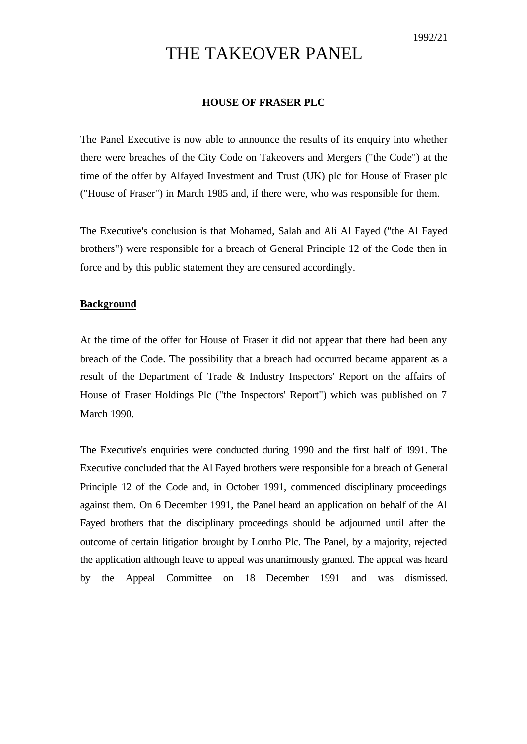# THE TAKEOVER PANEL

# **HOUSE OF FRASER PLC**

The Panel Executive is now able to announce the results of its enquiry into whether there were breaches of the City Code on Takeovers and Mergers ("the Code") at the time of the offer by Alfayed Investment and Trust (UK) plc for House of Fraser plc ("House of Fraser") in March 1985 and, if there were, who was responsible for them.

The Executive's conclusion is that Mohamed, Salah and Ali Al Fayed ("the Al Fayed brothers") were responsible for a breach of General Principle 12 of the Code then in force and by this public statement they are censured accordingly.

#### **Background**

At the time of the offer for House of Fraser it did not appear that there had been any breach of the Code. The possibility that a breach had occurred became apparent as a result of the Department of Trade & Industry Inspectors' Report on the affairs of House of Fraser Holdings Plc ("the Inspectors' Report") which was published on 7 March 1990.

The Executive's enquiries were conducted during 1990 and the first half of 1991. The Executive concluded that the Al Fayed brothers were responsible for a breach of General Principle 12 of the Code and, in October 1991, commenced disciplinary proceedings against them. On 6 December 1991, the Panel heard an application on behalf of the Al Fayed brothers that the disciplinary proceedings should be adjourned until after the outcome of certain litigation brought by Lonrho Plc. The Panel, by a majority, rejected the application although leave to appeal was unanimously granted. The appeal was heard by the Appeal Committee on 18 December 1991 and was dismissed.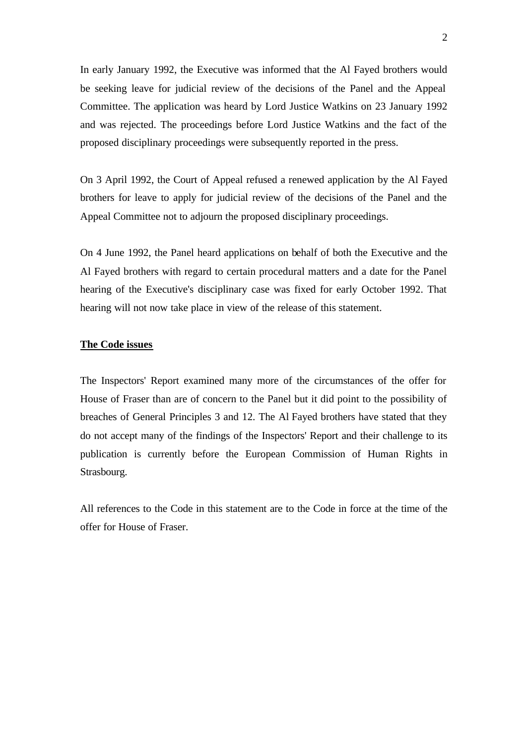In early January 1992, the Executive was informed that the Al Fayed brothers would be seeking leave for judicial review of the decisions of the Panel and the Appeal Committee. The application was heard by Lord Justice Watkins on 23 January 1992 and was rejected. The proceedings before Lord Justice Watkins and the fact of the proposed disciplinary proceedings were subsequently reported in the press.

On 3 April 1992, the Court of Appeal refused a renewed application by the Al Fayed brothers for leave to apply for judicial review of the decisions of the Panel and the Appeal Committee not to adjourn the proposed disciplinary proceedings.

On 4 June 1992, the Panel heard applications on behalf of both the Executive and the Al Fayed brothers with regard to certain procedural matters and a date for the Panel hearing of the Executive's disciplinary case was fixed for early October 1992. That hearing will not now take place in view of the release of this statement.

# **The Code issues**

The Inspectors' Report examined many more of the circumstances of the offer for House of Fraser than are of concern to the Panel but it did point to the possibility of breaches of General Principles 3 and 12. The Al Fayed brothers have stated that they do not accept many of the findings of the Inspectors' Report and their challenge to its publication is currently before the European Commission of Human Rights in Strasbourg.

All references to the Code in this statement are to the Code in force at the time of the offer for House of Fraser.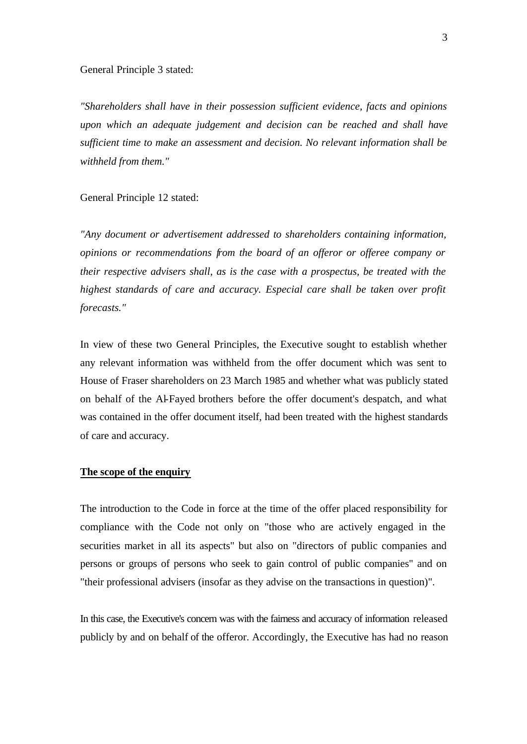General Principle 3 stated:

*"Shareholders shall have in their possession sufficient evidence, facts and opinions upon which an adequate judgement and decision can be reached and shall have sufficient time to make an assessment and decision. No relevant information shall be withheld from them."*

General Principle 12 stated:

*"Any document or advertisement addressed to shareholders containing information, opinions or recommendations from the board of an offeror or offeree company or their respective advisers shall, as is the case with a prospectus, be treated with the highest standards of care and accuracy. Especial care shall be taken over profit forecasts."*

In view of these two General Principles, the Executive sought to establish whether any relevant information was withheld from the offer document which was sent to House of Fraser shareholders on 23 March 1985 and whether what was publicly stated on behalf of the Al-Fayed brothers before the offer document's despatch, and what was contained in the offer document itself, had been treated with the highest standards of care and accuracy.

# **The scope of the enquiry**

The introduction to the Code in force at the time of the offer placed responsibility for compliance with the Code not only on "those who are actively engaged in the securities market in all its aspects" but also on "directors of public companies and persons or groups of persons who seek to gain control of public companies" and on "their professional advisers (insofar as they advise on the transactions in question)".

In this case, the Executive's concern was with the fairness and accuracy of information released publicly by and on behalf of the offeror. Accordingly, the Executive has had no reason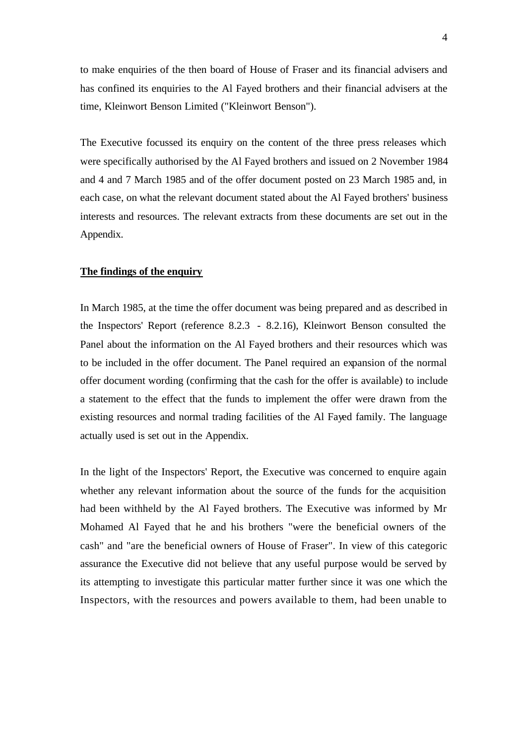to make enquiries of the then board of House of Fraser and its financial advisers and has confined its enquiries to the Al Fayed brothers and their financial advisers at the time, Kleinwort Benson Limited ("Kleinwort Benson").

The Executive focussed its enquiry on the content of the three press releases which were specifically authorised by the Al Fayed brothers and issued on 2 November 1984 and 4 and 7 March 1985 and of the offer document posted on 23 March 1985 and, in each case, on what the relevant document stated about the Al Fayed brothers' business interests and resources. The relevant extracts from these documents are set out in the Appendix.

# **The findings of the enquiry**

In March 1985, at the time the offer document was being prepared and as described in the Inspectors' Report (reference 8.2.3 - 8.2.16), Kleinwort Benson consulted the Panel about the information on the Al Fayed brothers and their resources which was to be included in the offer document. The Panel required an expansion of the normal offer document wording (confirming that the cash for the offer is available) to include a statement to the effect that the funds to implement the offer were drawn from the existing resources and normal trading facilities of the Al Fayed family. The language actually used is set out in the Appendix.

In the light of the Inspectors' Report, the Executive was concerned to enquire again whether any relevant information about the source of the funds for the acquisition had been withheld by the Al Fayed brothers. The Executive was informed by Mr Mohamed Al Fayed that he and his brothers "were the beneficial owners of the cash" and "are the beneficial owners of House of Fraser". In view of this categoric assurance the Executive did not believe that any useful purpose would be served by its attempting to investigate this particular matter further since it was one which the Inspectors, with the resources and powers available to them, had been unable to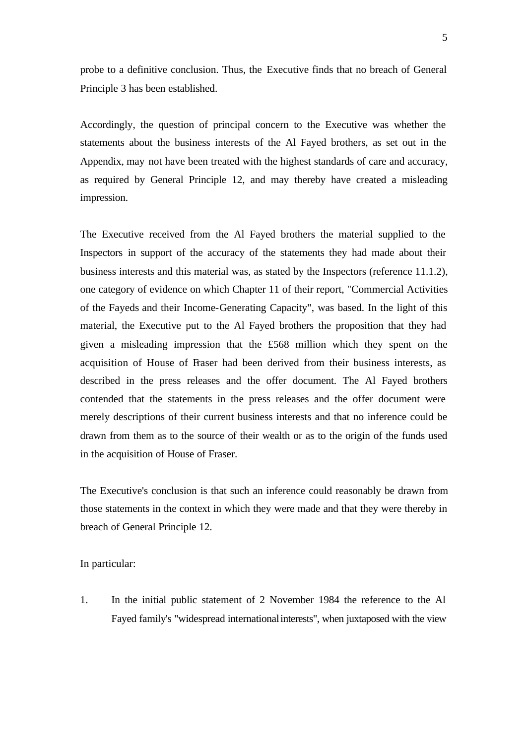probe to a definitive conclusion. Thus, the Executive finds that no breach of General Principle 3 has been established.

Accordingly, the question of principal concern to the Executive was whether the statements about the business interests of the Al Fayed brothers, as set out in the Appendix, may not have been treated with the highest standards of care and accuracy, as required by General Principle 12, and may thereby have created a misleading impression.

The Executive received from the Al Fayed brothers the material supplied to the Inspectors in support of the accuracy of the statements they had made about their business interests and this material was, as stated by the Inspectors (reference 11.1.2), one category of evidence on which Chapter 11 of their report, "Commercial Activities of the Fayeds and their Income-Generating Capacity", was based. In the light of this material, the Executive put to the Al Fayed brothers the proposition that they had given a misleading impression that the £568 million which they spent on the acquisition of House of Fraser had been derived from their business interests, as described in the press releases and the offer document. The Al Fayed brothers contended that the statements in the press releases and the offer document were merely descriptions of their current business interests and that no inference could be drawn from them as to the source of their wealth or as to the origin of the funds used in the acquisition of House of Fraser.

The Executive's conclusion is that such an inference could reasonably be drawn from those statements in the context in which they were made and that they were thereby in breach of General Principle 12.

In particular:

1. In the initial public statement of 2 November 1984 the reference to the Al Fayed family's "widespread international interests", when juxtaposed with the view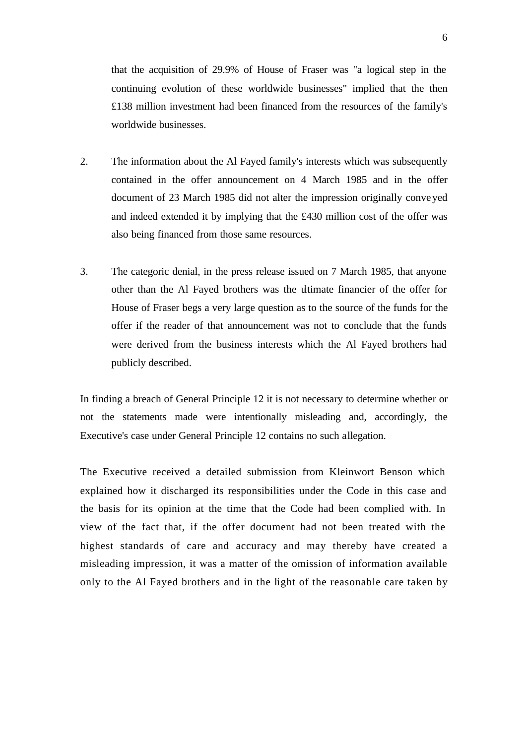that the acquisition of 29.9% of House of Fraser was "a logical step in the continuing evolution of these worldwide businesses" implied that the then £138 million investment had been financed from the resources of the family's worldwide businesses.

- 2. The information about the Al Fayed family's interests which was subsequently contained in the offer announcement on 4 March 1985 and in the offer document of 23 March 1985 did not alter the impression originally conveyed and indeed extended it by implying that the £430 million cost of the offer was also being financed from those same resources.
- 3. The categoric denial, in the press release issued on 7 March 1985, that anyone other than the Al Fayed brothers was the ultimate financier of the offer for House of Fraser begs a very large question as to the source of the funds for the offer if the reader of that announcement was not to conclude that the funds were derived from the business interests which the Al Fayed brothers had publicly described.

In finding a breach of General Principle 12 it is not necessary to determine whether or not the statements made were intentionally misleading and, accordingly, the Executive's case under General Principle 12 contains no such allegation.

The Executive received a detailed submission from Kleinwort Benson which explained how it discharged its responsibilities under the Code in this case and the basis for its opinion at the time that the Code had been complied with. In view of the fact that, if the offer document had not been treated with the highest standards of care and accuracy and may thereby have created a misleading impression, it was a matter of the omission of information available only to the Al Fayed brothers and in the light of the reasonable care taken by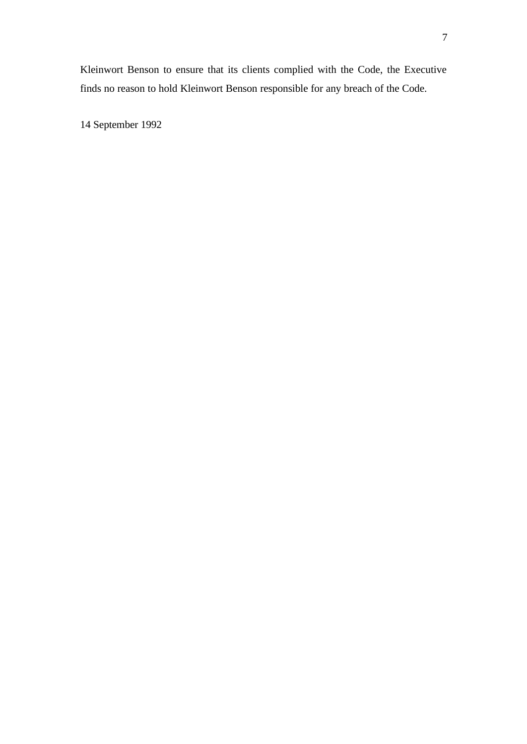Kleinwort Benson to ensure that its clients complied with the Code, the Executive finds no reason to hold Kleinwort Benson responsible for any breach of the Code.

14 September 1992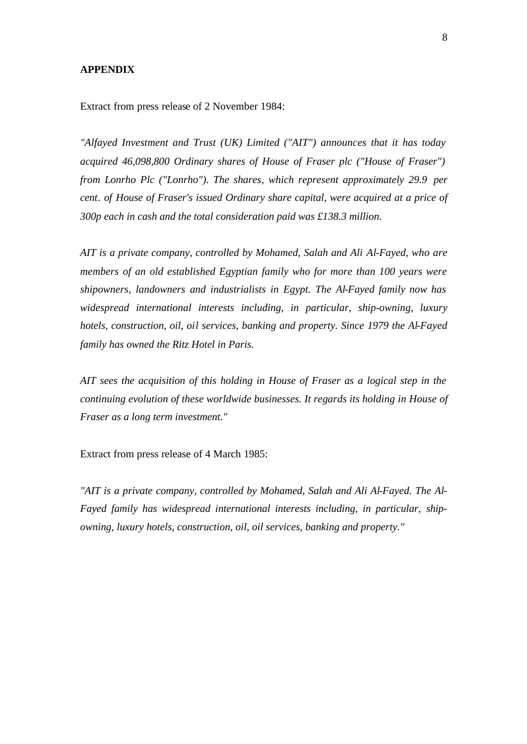## **APPENDIX**

Extract from press release of 2 November 1984:

*"Alfayed Investment and Trust (UK) Limited ("AIT") announces that it has today acquired 46,098,800 Ordinary shares of House of Fraser plc ("House of Fraser") from Lonrho Plc ("Lonrho"). The shares, which represent approximately 29.9 per cent. of House of Fraser's issued Ordinary share capital, were acquired at a price of 300p each in cash and the total consideration paid was £138.3 million.*

*AIT is a private company, controlled by Mohamed, Salah and Ali Al-Fayed, who are members of an old established Egyptian family who for more than 100 years were shipowners, landowners and industrialists in Egypt. The Al-Fayed family now has widespread international interests including, in particular, ship-owning, luxury hotels, construction, oil, oil services, banking and property. Since 1979 the Al-Fayed family has owned the Ritz Hotel in Paris.*

*AIT sees the acquisition of this holding in House of Fraser as a logical step in the continuing evolution of these worldwide businesses. It regards its holding in House of Fraser as a long term investment."*

Extract from press release of 4 March 1985:

*"AIT is a private company, controlled by Mohamed, Salah and Ali Al-Fayed. The Al-Fayed family has widespread international interests including, in particular, shipowning, luxury hotels, construction, oil, oil services, banking and property."*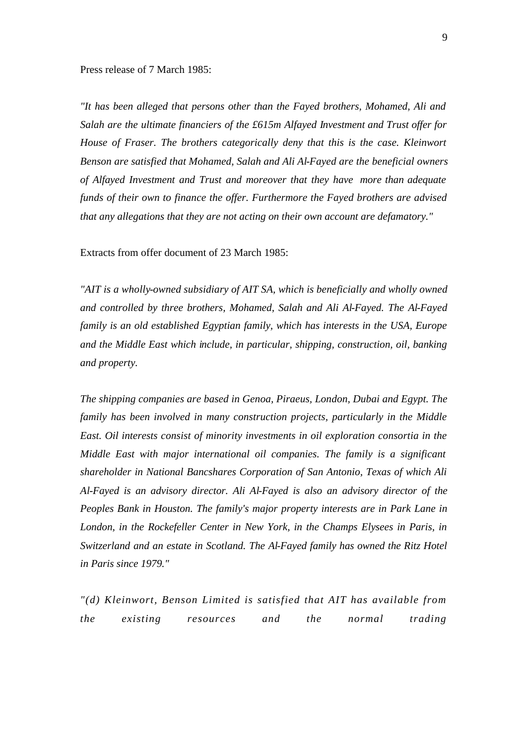#### Press release of 7 March 1985:

*"It has been alleged that persons other than the Fayed brothers, Mohamed, Ali and Salah are the ultimate financiers of the £615m Alfayed Investment and Trust offer for House of Fraser. The brothers categorically deny that this is the case. Kleinwort Benson are satisfied that Mohamed, Salah and Ali Al-Fayed are the beneficial owners of Alfayed Investment and Trust and moreover that they have more than adequate funds of their own to finance the offer. Furthermore the Fayed brothers are advised that any allegations that they are not acting on their own account are defamatory."*

Extracts from offer document of 23 March 1985:

*"AIT is a wholly-owned subsidiary of AIT SA, which is beneficially and wholly owned and controlled by three brothers, Mohamed, Salah and Ali Al-Fayed. The Al-Fayed family is an old established Egyptian family, which has interests in the USA, Europe and the Middle East which include, in particular, shipping, construction, oil, banking and property.*

*The shipping companies are based in Genoa, Piraeus, London, Dubai and Egypt. The family has been involved in many construction projects, particularly in the Middle East. Oil interests consist of minority investments in oil exploration consortia in the Middle East with major international oil companies. The family is a significant shareholder in National Bancshares Corporation of San Antonio, Texas of which Ali Al-Fayed is an advisory director. Ali Al-Fayed is also an advisory director of the Peoples Bank in Houston. The family's major property interests are in Park Lane in London, in the Rockefeller Center in New York, in the Champs Elysees in Paris, in Switzerland and an estate in Scotland. The Al-Fayed family has owned the Ritz Hotel in Paris since 1979."*

*"(d) Kleinwort, Benson Limited is satisfied that AIT has available from the existing resources and the normal trading*